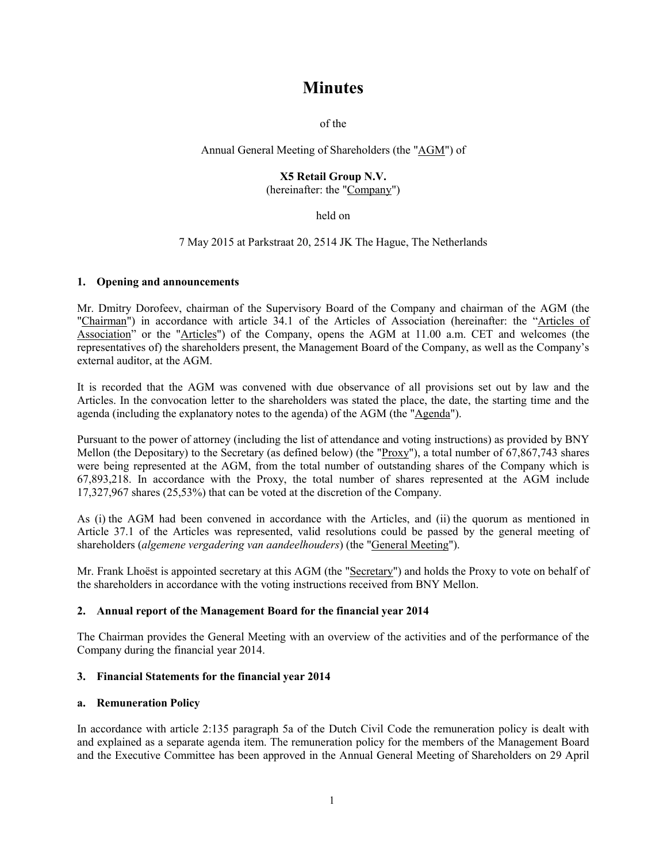# **Minutes**

of the

# Annual General Meeting of Shareholders (the "AGM") of

#### **X5 Retail Group N.V.** (hereinafter: the "Company")

held on

7 May 2015 at Parkstraat 20, 2514 JK The Hague, The Netherlands

## **1. Opening and announcements**

Mr. Dmitry Dorofeev, chairman of the Supervisory Board of the Company and chairman of the AGM (the "Chairman") in accordance with article 34.1 of the Articles of Association (hereinafter: the "Articles of Association" or the "Articles") of the Company, opens the AGM at 11.00 a.m. CET and welcomes (the representatives of) the shareholders present, the Management Board of the Company, as well as the Company's external auditor, at the AGM.

It is recorded that the AGM was convened with due observance of all provisions set out by law and the Articles. In the convocation letter to the shareholders was stated the place, the date, the starting time and the agenda (including the explanatory notes to the agenda) of the AGM (the "Agenda").

Pursuant to the power of attorney (including the list of attendance and voting instructions) as provided by BNY Mellon (the Depositary) to the Secretary (as defined below) (the "Proxy"), a total number of 67,867,743 shares were being represented at the AGM, from the total number of outstanding shares of the Company which is 67,893,218. In accordance with the Proxy, the total number of shares represented at the AGM include 17,327,967 shares (25,53%) that can be voted at the discretion of the Company.

As (i) the AGM had been convened in accordance with the Articles, and (ii) the quorum as mentioned in Article 37.1 of the Articles was represented, valid resolutions could be passed by the general meeting of shareholders (*algemene vergadering van aandeelhouders*) (the "General Meeting").

Mr. Frank Lhoëst is appointed secretary at this AGM (the "Secretary") and holds the Proxy to vote on behalf of the shareholders in accordance with the voting instructions received from BNY Mellon.

# **2. Annual report of the Management Board for the financial year 2014**

The Chairman provides the General Meeting with an overview of the activities and of the performance of the Company during the financial year 2014.

# **3. Financial Statements for the financial year 2014**

## **a. Remuneration Policy**

In accordance with article 2:135 paragraph 5a of the Dutch Civil Code the remuneration policy is dealt with and explained as a separate agenda item. The remuneration policy for the members of the Management Board and the Executive Committee has been approved in the Annual General Meeting of Shareholders on 29 April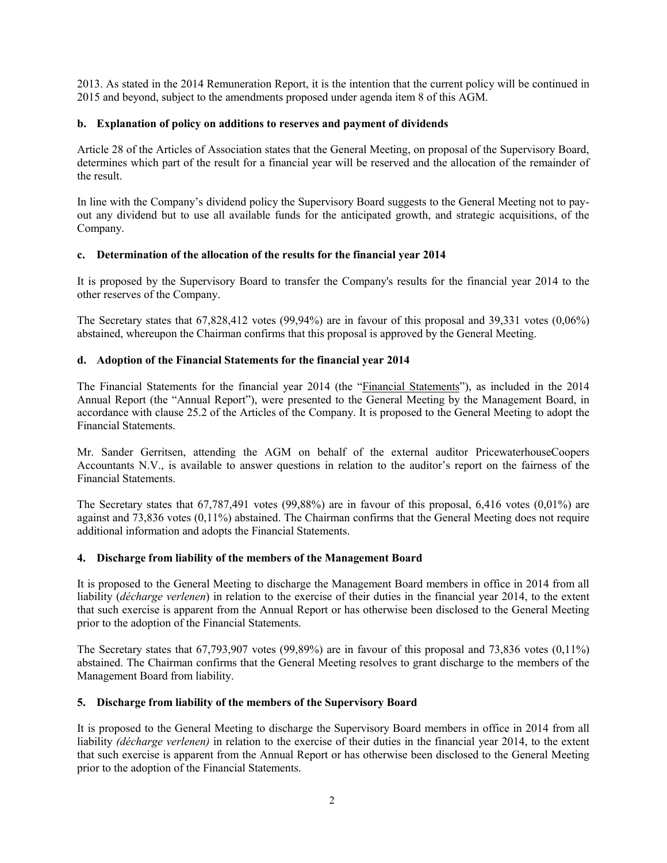2013. As stated in the 2014 Remuneration Report, it is the intention that the current policy will be continued in 2015 and beyond, subject to the amendments proposed under agenda item 8 of this AGM.

# **b. Explanation of policy on additions to reserves and payment of dividends**

Article 28 of the Articles of Association states that the General Meeting, on proposal of the Supervisory Board, determines which part of the result for a financial year will be reserved and the allocation of the remainder of the result.

In line with the Company's dividend policy the Supervisory Board suggests to the General Meeting not to payout any dividend but to use all available funds for the anticipated growth, and strategic acquisitions, of the Company.

## **c. Determination of the allocation of the results for the financial year 2014**

It is proposed by the Supervisory Board to transfer the Company's results for the financial year 2014 to the other reserves of the Company.

The Secretary states that 67,828,412 votes (99,94%) are in favour of this proposal and 39,331 votes (0,06%) abstained, whereupon the Chairman confirms that this proposal is approved by the General Meeting.

## **d. Adoption of the Financial Statements for the financial year 2014**

The Financial Statements for the financial year 2014 (the "Financial Statements"), as included in the 2014 Annual Report (the "Annual Report"), were presented to the General Meeting by the Management Board, in accordance with clause 25.2 of the Articles of the Company. It is proposed to the General Meeting to adopt the Financial Statements.

Mr. Sander Gerritsen, attending the AGM on behalf of the external auditor PricewaterhouseCoopers Accountants N.V., is available to answer questions in relation to the auditor's report on the fairness of the Financial Statements.

The Secretary states that 67,787,491 votes (99,88%) are in favour of this proposal, 6,416 votes (0,01%) are against and 73,836 votes (0,11%) abstained. The Chairman confirms that the General Meeting does not require additional information and adopts the Financial Statements.

#### **4. Discharge from liability of the members of the Management Board**

It is proposed to the General Meeting to discharge the Management Board members in office in 2014 from all liability (*décharge verlenen*) in relation to the exercise of their duties in the financial year 2014, to the extent that such exercise is apparent from the Annual Report or has otherwise been disclosed to the General Meeting prior to the adoption of the Financial Statements.

The Secretary states that 67,793,907 votes (99,89%) are in favour of this proposal and 73,836 votes (0,11%) abstained. The Chairman confirms that the General Meeting resolves to grant discharge to the members of the Management Board from liability.

#### **5. Discharge from liability of the members of the Supervisory Board**

It is proposed to the General Meeting to discharge the Supervisory Board members in office in 2014 from all liability *(décharge verlenen)* in relation to the exercise of their duties in the financial year 2014, to the extent that such exercise is apparent from the Annual Report or has otherwise been disclosed to the General Meeting prior to the adoption of the Financial Statements.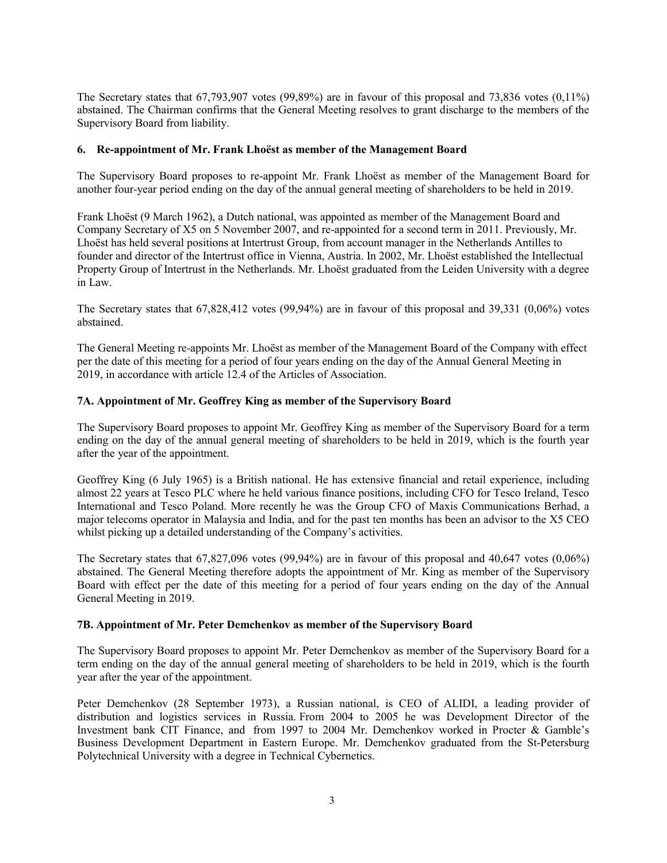The Secretary states that 67,793,907 votes (99,89%) are in favour of this proposal and 73,836 votes (0,11%) abstained. The Chairman confirms that the General Meeting resolves to grant discharge to the members of the Supervisory Board from liability.

## **6. Re-appointment of Mr. Frank Lhoëst as member of the Management Board**

The Supervisory Board proposes to re-appoint Mr. Frank Lhoëst as member of the Management Board for another four-year period ending on the day of the annual general meeting of shareholders to be held in 2019.

Frank Lhoëst (9 March 1962), a Dutch national, was appointed as member of the Management Board and Company Secretary of X5 on 5 November 2007, and re-appointed for a second term in 2011. Previously, Mr. Lhoëst has held several positions at Intertrust Group, from account manager in the Netherlands Antilles to founder and director of the Intertrust office in Vienna, Austria. In 2002, Mr. Lhoëst established the Intellectual Property Group of Intertrust in the Netherlands. Mr. Lhoëst graduated from the Leiden University with a degree in Law.

The Secretary states that 67,828,412 votes (99,94%) are in favour of this proposal and 39,331 (0,06%) votes abstained.

The General Meeting re-appoints Mr. Lhoëst as member of the Management Board of the Company with effect per the date of this meeting for a period of four years ending on the day of the Annual General Meeting in 2019, in accordance with article 12.4 of the Articles of Association.

## **7A. Appointment of Mr. Geoffrey King as member of the Supervisory Board**

The Supervisory Board proposes to appoint Mr. Geoffrey King as member of the Supervisory Board for a term ending on the day of the annual general meeting of shareholders to be held in 2019, which is the fourth year after the year of the appointment.

Geoffrey King (6 July 1965) is a British national. He has extensive financial and retail experience, including almost 22 years at Tesco PLC where he held various finance positions, including CFO for Tesco Ireland, Tesco International and Tesco Poland. More recently he was the Group CFO of Maxis Communications Berhad, a major telecoms operator in Malaysia and India, and for the past ten months has been an advisor to the X5 CEO whilst picking up a detailed understanding of the Company's activities.

The Secretary states that 67,827,096 votes (99,94%) are in favour of this proposal and 40,647 votes (0,06%) abstained. The General Meeting therefore adopts the appointment of Mr. King as member of the Supervisory Board with effect per the date of this meeting for a period of four years ending on the day of the Annual General Meeting in 2019.

#### **7B. Appointment of Mr. Peter Demchenkov as member of the Supervisory Board**

The Supervisory Board proposes to appoint Mr. Peter Demchenkov as member of the Supervisory Board for a term ending on the day of the annual general meeting of shareholders to be held in 2019, which is the fourth year after the year of the appointment.

Peter Demchenkov (28 September 1973), a Russian national, is CEO of ALIDI, a leading provider of distribution and logistics services in Russia. From 2004 to 2005 he was Development Director of the Investment bank CIT Finance, and from 1997 to 2004 Mr. Demchenkov worked in Procter & Gamble's Business Development Department in Eastern Europe. Mr. Demchenkov graduated from the St-Petersburg Polytechnical University with a degree in Technical Cybernetics.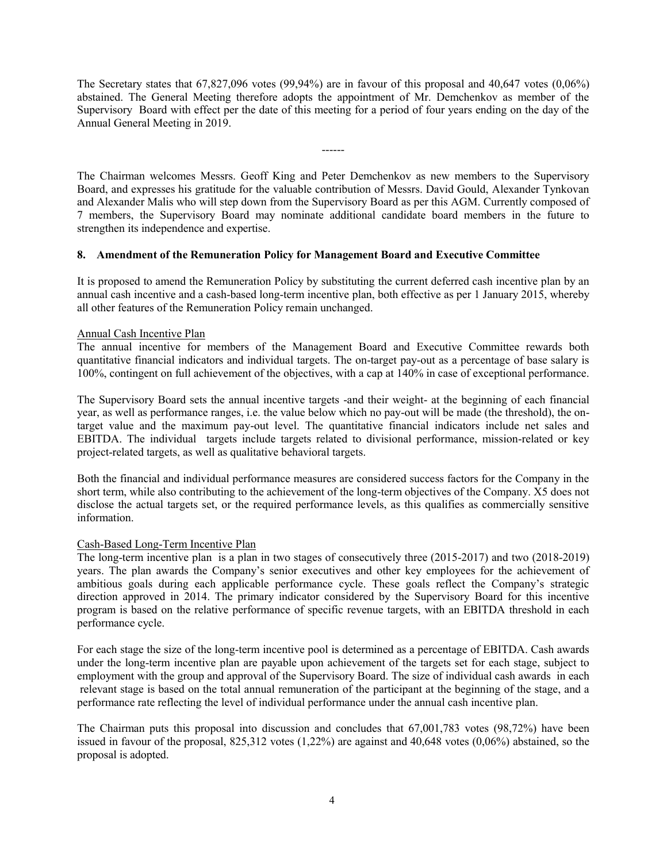The Secretary states that 67,827,096 votes (99,94%) are in favour of this proposal and 40,647 votes (0,06%) abstained. The General Meeting therefore adopts the appointment of Mr. Demchenkov as member of the Supervisory Board with effect per the date of this meeting for a period of four years ending on the day of the Annual General Meeting in 2019.

------

The Chairman welcomes Messrs. Geoff King and Peter Demchenkov as new members to the Supervisory Board, and expresses his gratitude for the valuable contribution of Messrs. David Gould, Alexander Tynkovan and Alexander Malis who will step down from the Supervisory Board as per this AGM. Currently composed of 7 members, the Supervisory Board may nominate additional candidate board members in the future to strengthen its independence and expertise.

## **8. Amendment of the Remuneration Policy for Management Board and Executive Committee**

It is proposed to amend the Remuneration Policy by substituting the current deferred cash incentive plan by an annual cash incentive and a cash-based long-term incentive plan, both effective as per 1 January 2015, whereby all other features of the Remuneration Policy remain unchanged.

## Annual Cash Incentive Plan

The annual incentive for members of the Management Board and Executive Committee rewards both quantitative financial indicators and individual targets. The on-target pay-out as a percentage of base salary is 100%, contingent on full achievement of the objectives, with a cap at 140% in case of exceptional performance.

The Supervisory Board sets the annual incentive targets -and their weight- at the beginning of each financial year, as well as performance ranges, i.e. the value below which no pay-out will be made (the threshold), the ontarget value and the maximum pay-out level. The quantitative financial indicators include net sales and EBITDA. The individual targets include targets related to divisional performance, mission-related or key project-related targets, as well as qualitative behavioral targets.

Both the financial and individual performance measures are considered success factors for the Company in the short term, while also contributing to the achievement of the long-term objectives of the Company. X5 does not disclose the actual targets set, or the required performance levels, as this qualifies as commercially sensitive information.

#### Cash-Based Long-Term Incentive Plan

The long-term incentive plan is a plan in two stages of consecutively three (2015-2017) and two (2018-2019) years. The plan awards the Company's senior executives and other key employees for the achievement of ambitious goals during each applicable performance cycle. These goals reflect the Company's strategic direction approved in 2014. The primary indicator considered by the Supervisory Board for this incentive program is based on the relative performance of specific revenue targets, with an EBITDA threshold in each performance cycle.

For each stage the size of the long-term incentive pool is determined as a percentage of EBITDA. Cash awards under the long-term incentive plan are payable upon achievement of the targets set for each stage, subject to employment with the group and approval of the Supervisory Board. The size of individual cash awards in each relevant stage is based on the total annual remuneration of the participant at the beginning of the stage, and a performance rate reflecting the level of individual performance under the annual cash incentive plan.

The Chairman puts this proposal into discussion and concludes that 67,001,783 votes (98,72%) have been issued in favour of the proposal, 825,312 votes (1,22%) are against and 40,648 votes (0,06%) abstained, so the proposal is adopted.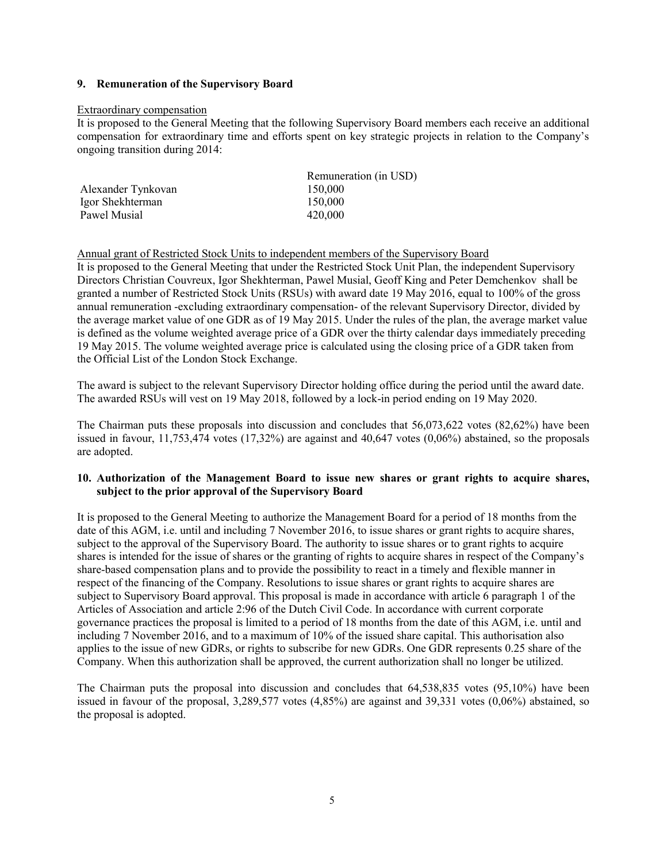## **9. Remuneration of the Supervisory Board**

#### Extraordinary compensation

It is proposed to the General Meeting that the following Supervisory Board members each receive an additional compensation for extraordinary time and efforts spent on key strategic projects in relation to the Company's ongoing transition during 2014:

| Remuneration (in USD) |
|-----------------------|
| 150,000               |
| 150,000               |
| 420,000               |
|                       |

#### Annual grant of Restricted Stock Units to independent members of the Supervisory Board

It is proposed to the General Meeting that under the Restricted Stock Unit Plan, the independent Supervisory Directors Christian Couvreux, Igor Shekhterman, Pawel Musial, Geoff King and Peter Demchenkov shall be granted a number of Restricted Stock Units (RSUs) with award date 19 May 2016, equal to 100% of the gross annual remuneration -excluding extraordinary compensation- of the relevant Supervisory Director, divided by the average market value of one GDR as of 19 May 2015. Under the rules of the plan, the average market value is defined as the volume weighted average price of a GDR over the thirty calendar days immediately preceding 19 May 2015. The volume weighted average price is calculated using the closing price of a GDR taken from the Official List of the London Stock Exchange.

The award is subject to the relevant Supervisory Director holding office during the period until the award date. The awarded RSUs will vest on 19 May 2018, followed by a lock-in period ending on 19 May 2020.

The Chairman puts these proposals into discussion and concludes that 56,073,622 votes (82,62%) have been issued in favour, 11,753,474 votes (17,32%) are against and 40,647 votes (0,06%) abstained, so the proposals are adopted.

## **10. Authorization of the Management Board to issue new shares or grant rights to acquire shares, subject to the prior approval of the Supervisory Board**

It is proposed to the General Meeting to authorize the Management Board for a period of 18 months from the date of this AGM, i.e. until and including 7 November 2016, to issue shares or grant rights to acquire shares, subject to the approval of the Supervisory Board. The authority to issue shares or to grant rights to acquire shares is intended for the issue of shares or the granting of rights to acquire shares in respect of the Company's share-based compensation plans and to provide the possibility to react in a timely and flexible manner in respect of the financing of the Company. Resolutions to issue shares or grant rights to acquire shares are subject to Supervisory Board approval. This proposal is made in accordance with article 6 paragraph 1 of the Articles of Association and article 2:96 of the Dutch Civil Code. In accordance with current corporate governance practices the proposal is limited to a period of 18 months from the date of this AGM, i.e. until and including 7 November 2016, and to a maximum of 10% of the issued share capital. This authorisation also applies to the issue of new GDRs, or rights to subscribe for new GDRs. One GDR represents 0.25 share of the Company. When this authorization shall be approved, the current authorization shall no longer be utilized.

The Chairman puts the proposal into discussion and concludes that 64,538,835 votes (95,10%) have been issued in favour of the proposal, 3,289,577 votes (4,85%) are against and 39,331 votes (0,06%) abstained, so the proposal is adopted.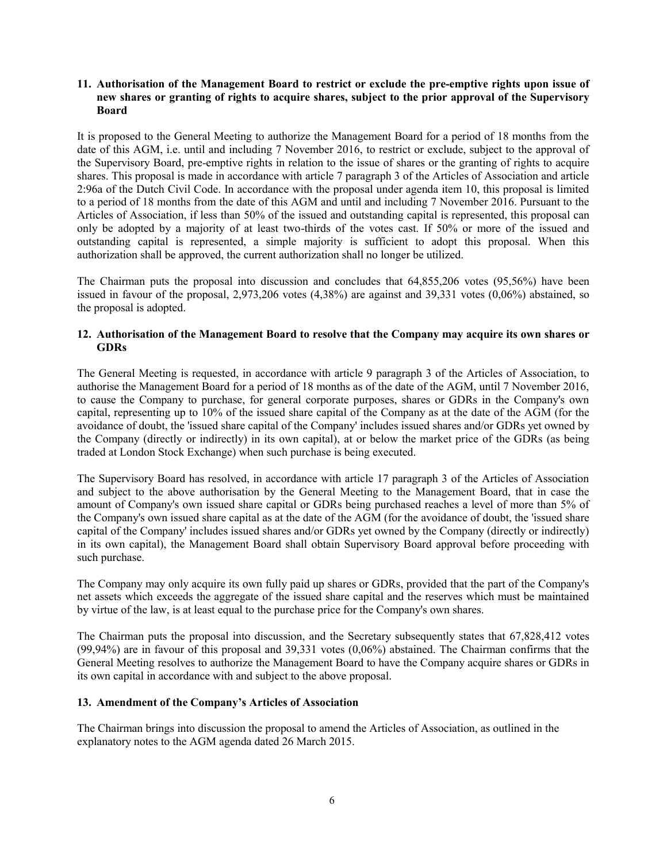## **11. Authorisation of the Management Board to restrict or exclude the pre-emptive rights upon issue of new shares or granting of rights to acquire shares, subject to the prior approval of the Supervisory Board**

It is proposed to the General Meeting to authorize the Management Board for a period of 18 months from the date of this AGM, i.e. until and including 7 November 2016, to restrict or exclude, subject to the approval of the Supervisory Board, pre-emptive rights in relation to the issue of shares or the granting of rights to acquire shares. This proposal is made in accordance with article 7 paragraph 3 of the Articles of Association and article 2:96a of the Dutch Civil Code. In accordance with the proposal under agenda item 10, this proposal is limited to a period of 18 months from the date of this AGM and until and including 7 November 2016. Pursuant to the Articles of Association, if less than 50% of the issued and outstanding capital is represented, this proposal can only be adopted by a majority of at least two-thirds of the votes cast. If 50% or more of the issued and outstanding capital is represented, a simple majority is sufficient to adopt this proposal. When this authorization shall be approved, the current authorization shall no longer be utilized.

The Chairman puts the proposal into discussion and concludes that 64,855,206 votes (95,56%) have been issued in favour of the proposal, 2,973,206 votes (4,38%) are against and 39,331 votes (0,06%) abstained, so the proposal is adopted.

## **12. Authorisation of the Management Board to resolve that the Company may acquire its own shares or GDRs**

The General Meeting is requested, in accordance with article 9 paragraph 3 of the Articles of Association, to authorise the Management Board for a period of 18 months as of the date of the AGM, until 7 November 2016, to cause the Company to purchase, for general corporate purposes, shares or GDRs in the Company's own capital, representing up to 10% of the issued share capital of the Company as at the date of the AGM (for the avoidance of doubt, the 'issued share capital of the Company' includes issued shares and/or GDRs yet owned by the Company (directly or indirectly) in its own capital), at or below the market price of the GDRs (as being traded at London Stock Exchange) when such purchase is being executed.

The Supervisory Board has resolved, in accordance with article 17 paragraph 3 of the Articles of Association and subject to the above authorisation by the General Meeting to the Management Board, that in case the amount of Company's own issued share capital or GDRs being purchased reaches a level of more than 5% of the Company's own issued share capital as at the date of the AGM (for the avoidance of doubt, the 'issued share capital of the Company' includes issued shares and/or GDRs yet owned by the Company (directly or indirectly) in its own capital), the Management Board shall obtain Supervisory Board approval before proceeding with such purchase.

The Company may only acquire its own fully paid up shares or GDRs, provided that the part of the Company's net assets which exceeds the aggregate of the issued share capital and the reserves which must be maintained by virtue of the law, is at least equal to the purchase price for the Company's own shares.

The Chairman puts the proposal into discussion, and the Secretary subsequently states that 67,828,412 votes (99,94%) are in favour of this proposal and 39,331 votes (0,06%) abstained. The Chairman confirms that the General Meeting resolves to authorize the Management Board to have the Company acquire shares or GDRs in its own capital in accordance with and subject to the above proposal.

# **13. Amendment of the Company's Articles of Association**

The Chairman brings into discussion the proposal to amend the Articles of Association, as outlined in the explanatory notes to the AGM agenda dated 26 March 2015.